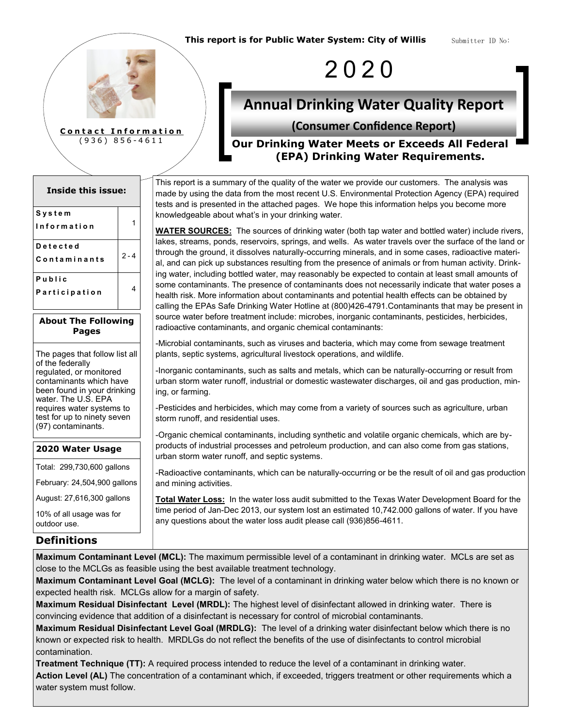Submitter ID No:



| <b>Inside this issue:</b> |         |  |  |  |  |  |
|---------------------------|---------|--|--|--|--|--|
| System                    |         |  |  |  |  |  |
| <b>Information</b>        |         |  |  |  |  |  |
| Detected                  |         |  |  |  |  |  |
| Contaminants              | $2 - 4$ |  |  |  |  |  |
| Public                    |         |  |  |  |  |  |
| Participation             |         |  |  |  |  |  |

#### **About The Following Pages**

The pages that follow list all of the federally regulated, or monitored contaminants which have been found in your drinking water. The U.S. EPA requires water systems to test for up to ninety seven (97) contaminants.

#### **2020 Water Usage**

Total: 299,730,600 gallons

February: 24,504,900 gallons

August: 27,616,300 gallons

10% of all usage was for outdoor use.

#### **Definitions**

**Maximum Contaminant Level (MCL):** The maximum permissible level of a contaminant in drinking water. MCLs are set as close to the MCLGs as feasible using the best available treatment technology.

**Maximum Contaminant Level Goal (MCLG):** The level of a contaminant in drinking water below which there is no known or expected health risk. MCLGs allow for a margin of safety.

**Maximum Residual Disinfectant Level (MRDL):** The highest level of disinfectant allowed in drinking water. There is convincing evidence that addition of a disinfectant is necessary for control of microbial contaminants.

**Maximum Residual Disinfectant Level Goal (MRDLG):** The level of a drinking water disinfectant below which there is no known or expected risk to health. MRDLGs do not reflect the benefits of the use of disinfectants to control microbial contamination.

**Treatment Technique (TT):** A required process intended to reduce the level of a contaminant in drinking water.

**Action Level (AL)** The concentration of a contaminant which, if exceeded, triggers treatment or other requirements which a water system must follow.

2 0 2 0

# **Annual Drinking Water Quality Report**

#### **(Consumer Confidence Report)**

**Our Drinking Water Meets or Exceeds All Federal (EPA) Drinking Water Requirements.**

This report is a summary of the quality of the water we provide our customers. The analysis was made by using the data from the most recent U.S. Environmental Protection Agency (EPA) required tests and is presented in the attached pages. We hope this information helps you become more knowledgeable about what's in your drinking water.

**WATER SOURCES:** The sources of drinking water (both tap water and bottled water) include rivers, lakes, streams, ponds, reservoirs, springs, and wells. As water travels over the surface of the land or through the ground, it dissolves naturally-occurring minerals, and in some cases, radioactive material, and can pick up substances resulting from the presence of animals or from human activity. Drinking water, including bottled water, may reasonably be expected to contain at least small amounts of some contaminants. The presence of contaminants does not necessarily indicate that water poses a health risk. More information about contaminants and potential health effects can be obtained by calling the EPAs Safe Drinking Water Hotline at (800)426-4791.Contaminants that may be present in source water before treatment include: microbes, inorganic contaminants, pesticides, herbicides, radioactive contaminants, and organic chemical contaminants:

-Microbial contaminants, such as viruses and bacteria, which may come from sewage treatment plants, septic systems, agricultural livestock operations, and wildlife.

-Inorganic contaminants, such as salts and metals, which can be naturally-occurring or result from urban storm water runoff, industrial or domestic wastewater discharges, oil and gas production, mining, or farming.

-Pesticides and herbicides, which may come from a variety of sources such as agriculture, urban storm runoff, and residential uses.

-Organic chemical contaminants, including synthetic and volatile organic chemicals, which are byproducts of industrial processes and petroleum production, and can also come from gas stations, urban storm water runoff, and septic systems.

-Radioactive contaminants, which can be naturally-occurring or be the result of oil and gas production and mining activities.

**Total Water Loss:** In the water loss audit submitted to the Texas Water Development Board for the time period of Jan-Dec 2013, our system lost an estimated 10,742.000 gallons of water. If you have any questions about the water loss audit please call (936)856-4611.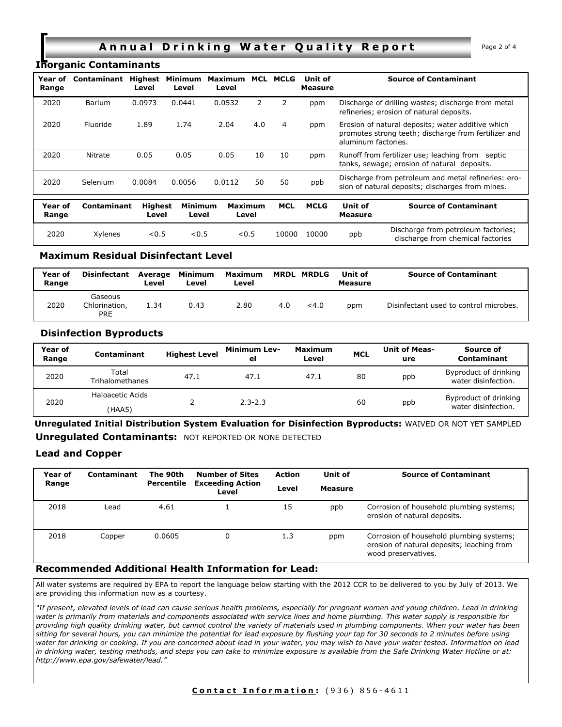#### **Annual Drinking Water Quality Report** Page 2 of 4

#### **Inorganic Contaminants**

| Year of<br>Range | Contaminant | Highest<br>Level        | Minimum<br>Level        | Maximum<br>Level        | MCL | MCLG       | Unit of<br><b>Measure</b> | <b>Source of Contaminant</b>                                                                                                     |
|------------------|-------------|-------------------------|-------------------------|-------------------------|-----|------------|---------------------------|----------------------------------------------------------------------------------------------------------------------------------|
| 2020             | Barium      | 0.0973                  | 0.0441                  | 0.0532                  | 2   |            | ppm                       | Discharge of drilling wastes; discharge from metal<br>refineries; erosion of natural deposits.                                   |
| 2020             | Fluoride    | 1.89                    | 1.74                    | 2.04                    | 4.0 | 4          | ppm                       | Erosion of natural deposits; water additive which<br>promotes strong teeth; discharge from fertilizer and<br>aluminum factories. |
| 2020             | Nitrate     | 0.05                    | 0.05                    | 0.05                    | 10  | 10         | ppm                       | Runoff from fertilizer use; leaching from septic<br>tanks, sewage; erosion of natural deposits.                                  |
| 2020             | Selenium    | 0.0084                  | 0.0056                  | 0.0112                  | 50  | 50         | ppb                       | Discharge from petroleum and metal refineries: ero-<br>sion of natural deposits; discharges from mines.                          |
| Year of<br>Range | Contaminant | <b>Highest</b><br>Level | <b>Minimum</b><br>Level | <b>Maximum</b><br>Level |     | <b>MCL</b> | <b>MCLG</b>               | Unit of<br><b>Source of Contaminant</b><br>Measure                                                                               |

#### **Maximum Residual Disinfectant Level**

| Year of<br>Range | Disinfectant                           | Average<br>Level | Minimum<br>Level | Maximum MRDL MRDLG<br>Level |     |       | Unit of<br>Measure | <b>Source of Contaminant</b>           |
|------------------|----------------------------------------|------------------|------------------|-----------------------------|-----|-------|--------------------|----------------------------------------|
| 2020             | Gaseous<br>Chlorination,<br><b>PRE</b> | 1.34             | 0.43             | 2.80                        | 4.0 | < 4.0 | ppm                | Disinfectant used to control microbes. |

<sup>2020</sup> Xylenes <0.5 <0.5 <0.5 <sup>10000</sup> <sup>10000</sup> ppb Discharge from petroleum factories;

#### **Disinfection Byproducts**

| Year of<br>Range | Contaminant                | <b>Highest Level</b> | <b>Minimum Lev-</b><br>el | <b>Maximum</b><br>Level | <b>MCL</b> | <b>Unit of Meas-</b><br>ure | Source of<br>Contaminant                     |
|------------------|----------------------------|----------------------|---------------------------|-------------------------|------------|-----------------------------|----------------------------------------------|
| 2020             | Total<br>Trihalomethanes   | 47.1                 | 47.1                      | 47.1                    | 80         | ppb                         | Byproduct of drinking<br>water disinfection. |
| 2020             | Haloacetic Acids<br>(HAA5) |                      | $2.3 - 2.3$               |                         | 60         | ppb                         | Byproduct of drinking<br>water disinfection. |

**Unregulated Initial Distribution System Evaluation for Disinfection Byproducts:** WAIVED OR NOT YET SAMPLED **Unregulated Contaminants:** NOT REPORTED OR NONE DETECTED

#### **Lead and Copper**

| Year of<br>Range | Contaminant | The 90th<br>Percentile | <b>Number of Sites</b><br><b>Exceeding Action</b><br>Level | <b>Action</b><br>Level | Unit of<br><b>Measure</b> | <b>Source of Contaminant</b>                                                                                  |
|------------------|-------------|------------------------|------------------------------------------------------------|------------------------|---------------------------|---------------------------------------------------------------------------------------------------------------|
| 2018             | Lead        | 4.61                   |                                                            | 15                     | ppb                       | Corrosion of household plumbing systems;<br>erosion of natural deposits.                                      |
| 2018             | Copper      | 0.0605                 |                                                            | 1.3                    | ppm                       | Corrosion of household plumbing systems;<br>erosion of natural deposits; leaching from<br>wood preservatives. |

#### **Recommended Additional Health Information for Lead:**

All water systems are required by EPA to report the language below starting with the 2012 CCR to be delivered to you by July of 2013. We are providing this information now as a courtesy.

*"If present, elevated levels of lead can cause serious health problems, especially for pregnant women and young children. Lead in drinking water is primarily from materials and components associated with service lines and home plumbing. This water supply is responsible for providing high quality drinking water, but cannot control the variety of materials used in plumbing components. When your water has been sitting for several hours, you can minimize the potential for lead exposure by flushing your tap for 30 seconds to 2 minutes before using water for drinking or cooking. If you are concerned about lead in your water, you may wish to have your water tested. Information on lead in drinking water, testing methods, and steps you can take to minimize exposure is available from the Safe Drinking Water Hotline or at: http://www.epa.gov/safewater/lead."*

discharge from chemical factories

#### **Contact Information:** (936) 856-4611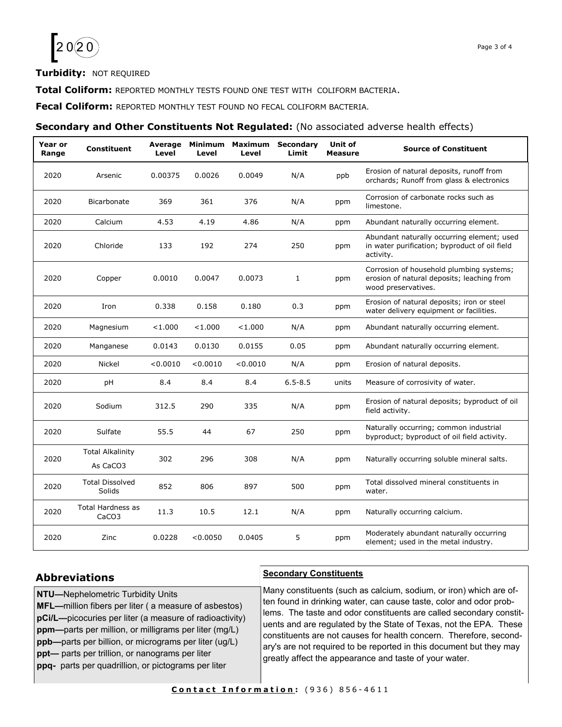

#### **Turbidity:** NOT REQUIRED

**Total Coliform:** REPORTED MONTHLY TESTS FOUND ONE TEST WITH COLIFORM BACTERIA.

**Fecal Coliform:** REPORTED MONTHLY TEST FOUND NO FECAL COLIFORM BACTERIA.

#### **Secondary and Other Constituents Not Regulated:** (No associated adverse health effects)

| Year or<br>Range | <b>Constituent</b>                            | Average<br>Level | Minimum<br>Level | Maximum<br>Level | Secondary<br>Limit | Unit of<br>Measure | <b>Source of Constituent</b>                                                                                  |
|------------------|-----------------------------------------------|------------------|------------------|------------------|--------------------|--------------------|---------------------------------------------------------------------------------------------------------------|
| 2020             | Arsenic                                       | 0.00375          | 0.0026           | 0.0049           | N/A                | ppb                | Erosion of natural deposits, runoff from<br>orchards; Runoff from glass & electronics                         |
| 2020             | Bicarbonate                                   | 369              | 361              | 376              | N/A                | ppm                | Corrosion of carbonate rocks such as<br>limestone.                                                            |
| 2020             | Calcium                                       | 4.53             | 4.19             | 4.86             | N/A                | ppm                | Abundant naturally occurring element.                                                                         |
| 2020             | Chloride                                      | 133              | 192              | 274              | 250                | ppm                | Abundant naturally occurring element; used<br>in water purification; byproduct of oil field<br>activity.      |
| 2020             | Copper                                        | 0.0010           | 0.0047           | 0.0073           | $\mathbf{1}$       | ppm                | Corrosion of household plumbing systems;<br>erosion of natural deposits; leaching from<br>wood preservatives. |
| 2020             | Iron                                          | 0.338            | 0.158            | 0.180            | 0.3                | ppm                | Erosion of natural deposits; iron or steel<br>water delivery equipment or facilities.                         |
| 2020             | Magnesium                                     | < 1.000          | < 1.000          | < 1.000          | N/A                | ppm                | Abundant naturally occurring element.                                                                         |
| 2020             | Manganese                                     | 0.0143           | 0.0130           | 0.0155           | 0.05               | ppm                | Abundant naturally occurring element.                                                                         |
| 2020             | Nickel                                        | < 0.0010         | < 0.0010         | < 0.0010         | N/A                | ppm                | Erosion of natural deposits.                                                                                  |
| 2020             | рH                                            | 8.4              | 8.4              | 8.4              | $6.5 - 8.5$        | units              | Measure of corrosivity of water.                                                                              |
| 2020             | Sodium                                        | 312.5            | 290              | 335              | N/A                | ppm                | Erosion of natural deposits; byproduct of oil<br>field activity.                                              |
| 2020             | Sulfate                                       | 55.5             | 44               | 67               | 250                | ppm                | Naturally occurring; common industrial<br>byproduct; byproduct of oil field activity.                         |
| 2020             | <b>Total Alkalinity</b><br>As CaCO3           | 302              | 296              | 308              | N/A                | ppm                | Naturally occurring soluble mineral salts.                                                                    |
| 2020             | <b>Total Dissolved</b><br>Solids              | 852              | 806              | 897              | 500                | ppm                | Total dissolved mineral constituents in<br>water.                                                             |
| 2020             | <b>Total Hardness as</b><br>CaCO <sub>3</sub> | 11.3             | 10.5             | 12.1             | N/A                | ppm                | Naturally occurring calcium.                                                                                  |
| 2020             | Zinc                                          | 0.0228           | < 0.0050         | 0.0405           | 5                  | ppm                | Moderately abundant naturally occurring<br>element; used in the metal industry.                               |

#### **Abbreviations**

**NTU—**Nephelometric Turbidity Units

**MFL—**million fibers per liter ( a measure of asbestos) **pCi/L—**picocuries per liter (a measure of radioactivity) **ppm—**parts per million, or milligrams per liter (mg/L) **ppb—**parts per billion, or micrograms per liter (ug/L) **ppt—** parts per trillion, or nanograms per liter **ppq-** parts per quadrillion, or pictograms per liter

#### **Secondary Constituents**

Many constituents (such as calcium, sodium, or iron) which are often found in drinking water, can cause taste, color and odor problems. The taste and odor constituents are called secondary constituents and are regulated by the State of Texas, not the EPA. These constituents are not causes for health concern. Therefore, secondary's are not required to be reported in this document but they may greatly affect the appearance and taste of your water.